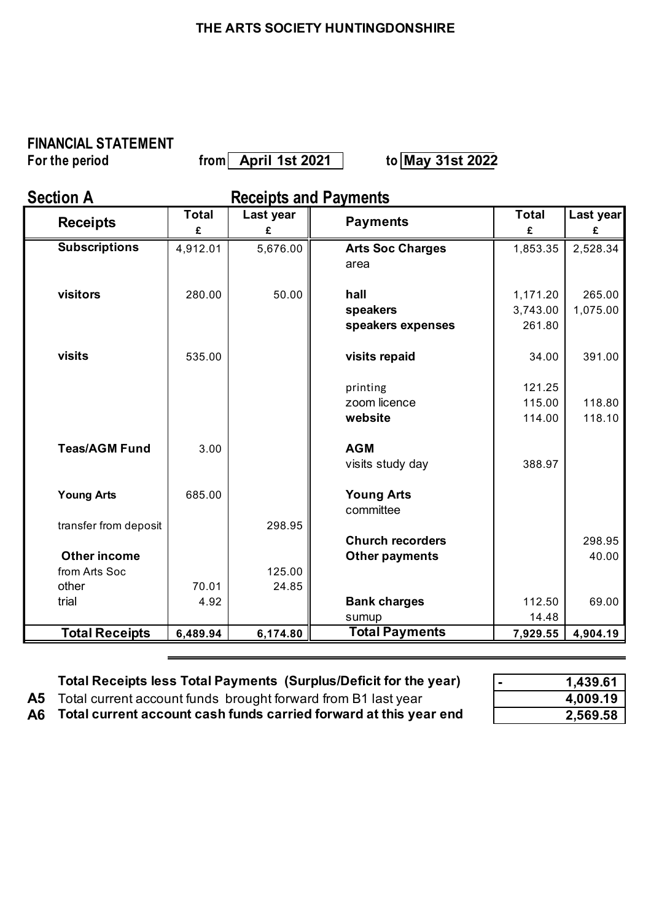### **THE ARTS SOCIETY HUNTINGDONSHIRE**

# **FINANCIAL STATEMENT**

**f**or the period from| April 1st 2021 | to|May 31st 2022

**Section A Receipts and Payments** 

| <b>Receipts</b>       | <b>Total</b> | Last year | <b>Payments</b>         | <b>Total</b> | Last year |
|-----------------------|--------------|-----------|-------------------------|--------------|-----------|
|                       | £            | £         |                         | £            | £         |
| <b>Subscriptions</b>  | 4,912.01     | 5,676.00  | <b>Arts Soc Charges</b> | 1,853.35     | 2,528.34  |
|                       |              |           | area                    |              |           |
|                       |              |           |                         |              |           |
| visitors              | 280.00       | 50.00     | hall                    | 1,171.20     | 265.00    |
|                       |              |           | speakers                | 3,743.00     | 1,075.00  |
|                       |              |           | speakers expenses       | 261.80       |           |
| visits                | 535.00       |           |                         |              | 391.00    |
|                       |              |           | visits repaid           | 34.00        |           |
|                       |              |           | printing                | 121.25       |           |
|                       |              |           | zoom licence            | 115.00       | 118.80    |
|                       |              |           | website                 | 114.00       | 118.10    |
|                       |              |           |                         |              |           |
| <b>Teas/AGM Fund</b>  | 3.00         |           | <b>AGM</b>              |              |           |
|                       |              |           | visits study day        | 388.97       |           |
| <b>Young Arts</b>     | 685.00       |           | <b>Young Arts</b>       |              |           |
|                       |              |           | committee               |              |           |
| transfer from deposit |              | 298.95    |                         |              |           |
|                       |              |           | <b>Church recorders</b> |              | 298.95    |
| <b>Other income</b>   |              |           | <b>Other payments</b>   |              | 40.00     |
| from Arts Soc         |              | 125.00    |                         |              |           |
| other                 | 70.01        | 24.85     |                         |              |           |
| trial                 | 4.92         |           | <b>Bank charges</b>     | 112.50       | 69.00     |
|                       |              |           | sumup                   | 14.48        |           |
| <b>Total Receipts</b> | 6,489.94     | 6,174.80  | <b>Total Payments</b>   | 7,929.55     | 4,904.19  |

| Total Receipts less Total Payments (Surplus/Deficit for the year)       | 1.439.61 |
|-------------------------------------------------------------------------|----------|
| <b>A5</b> Total current account funds brought forward from B1 last year | 4,009.19 |
| A6 Total current account cash funds carried forward at this year end    | 2,569.58 |

| 1,439.61 |
|----------|
| 4,009.19 |
| 2,569.58 |